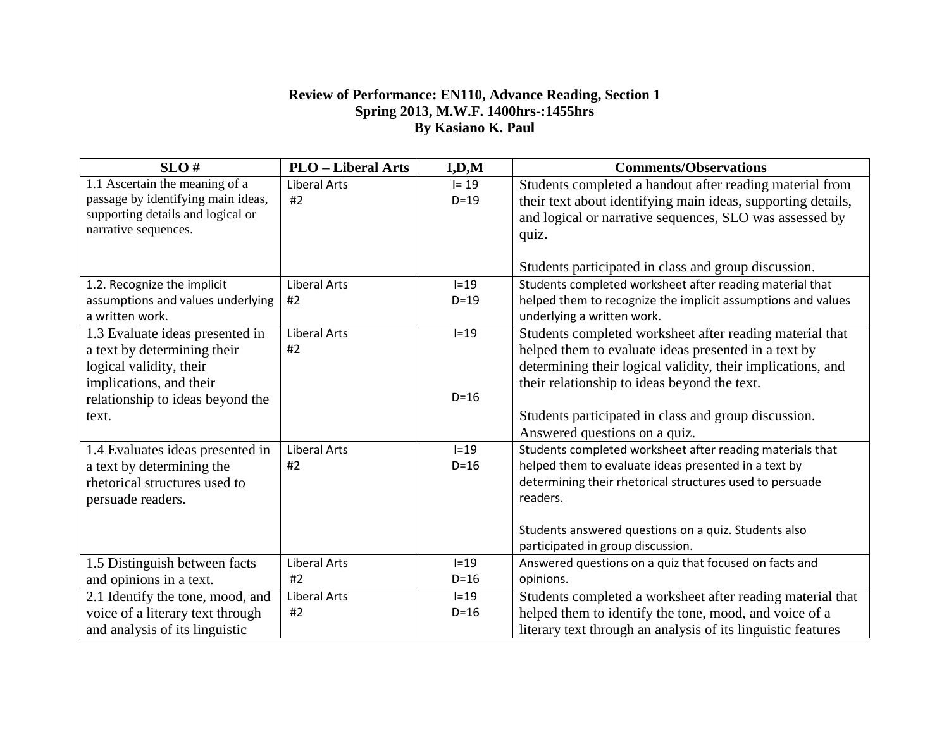## **Review of Performance: EN110, Advance Reading, Section 1 Spring 2013, M.W.F. 1400hrs-:1455hrs By Kasiano K. Paul**

| SLO#                               | <b>PLO</b> – Liberal Arts | I, D, M  | <b>Comments/Observations</b>                                 |
|------------------------------------|---------------------------|----------|--------------------------------------------------------------|
| 1.1 Ascertain the meaning of a     | <b>Liberal Arts</b>       | $I = 19$ | Students completed a handout after reading material from     |
| passage by identifying main ideas, | #2                        | $D=19$   | their text about identifying main ideas, supporting details, |
| supporting details and logical or  |                           |          | and logical or narrative sequences, SLO was assessed by      |
| narrative sequences.               |                           |          | quiz.                                                        |
|                                    |                           |          |                                                              |
|                                    |                           |          | Students participated in class and group discussion.         |
| 1.2. Recognize the implicit        | <b>Liberal Arts</b>       | $I=19$   | Students completed worksheet after reading material that     |
| assumptions and values underlying  | #2                        | $D=19$   | helped them to recognize the implicit assumptions and values |
| a written work.                    |                           |          | underlying a written work.                                   |
| 1.3 Evaluate ideas presented in    | <b>Liberal Arts</b>       | $I=19$   | Students completed worksheet after reading material that     |
| a text by determining their        | #2                        |          | helped them to evaluate ideas presented in a text by         |
| logical validity, their            |                           |          | determining their logical validity, their implications, and  |
| implications, and their            |                           |          | their relationship to ideas beyond the text.                 |
| relationship to ideas beyond the   |                           | $D=16$   |                                                              |
| text.                              |                           |          | Students participated in class and group discussion.         |
|                                    |                           |          | Answered questions on a quiz.                                |
| 1.4 Evaluates ideas presented in   | <b>Liberal Arts</b>       | $I=19$   | Students completed worksheet after reading materials that    |
| a text by determining the          | #2                        | $D=16$   | helped them to evaluate ideas presented in a text by         |
| rhetorical structures used to      |                           |          | determining their rhetorical structures used to persuade     |
| persuade readers.                  |                           |          | readers.                                                     |
|                                    |                           |          |                                                              |
|                                    |                           |          | Students answered questions on a quiz. Students also         |
|                                    |                           |          | participated in group discussion.                            |
| 1.5 Distinguish between facts      | <b>Liberal Arts</b>       | $I=19$   | Answered questions on a quiz that focused on facts and       |
| and opinions in a text.            | #2                        | $D=16$   | opinions.                                                    |
| 2.1 Identify the tone, mood, and   | <b>Liberal Arts</b>       | $I=19$   | Students completed a worksheet after reading material that   |
| voice of a literary text through   | #2                        | $D=16$   | helped them to identify the tone, mood, and voice of a       |
| and analysis of its linguistic     |                           |          | literary text through an analysis of its linguistic features |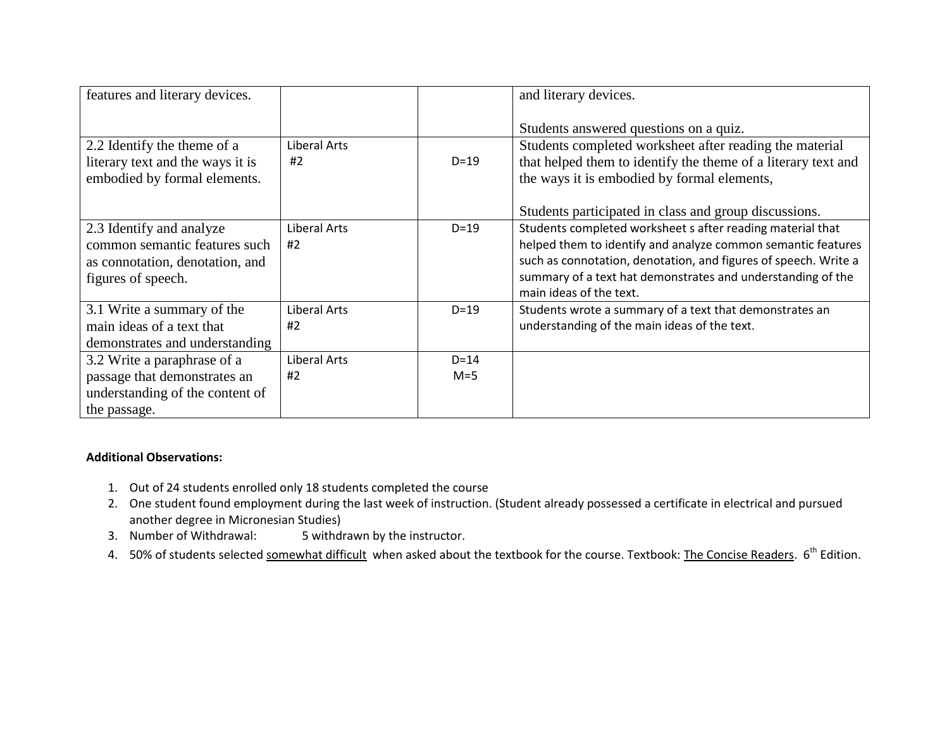| features and literary devices.   |              |        | and literary devices.                                                                  |
|----------------------------------|--------------|--------|----------------------------------------------------------------------------------------|
|                                  |              |        | Students answered questions on a quiz.                                                 |
| 2.2 Identify the theme of a      | Liberal Arts |        | Students completed worksheet after reading the material                                |
| literary text and the ways it is | #2           | $D=19$ | that helped them to identify the theme of a literary text and                          |
| embodied by formal elements.     |              |        | the ways it is embodied by formal elements,                                            |
|                                  |              |        | Students participated in class and group discussions.                                  |
| 2.3 Identify and analyze         | Liberal Arts | $D=19$ | Students completed worksheet s after reading material that                             |
| common semantic features such    | #2           |        | helped them to identify and analyze common semantic features                           |
| as connotation, denotation, and  |              |        | such as connotation, denotation, and figures of speech. Write a                        |
| figures of speech.               |              |        | summary of a text hat demonstrates and understanding of the<br>main ideas of the text. |
| 3.1 Write a summary of the       | Liberal Arts | $D=19$ | Students wrote a summary of a text that demonstrates an                                |
| main ideas of a text that        | #2           |        | understanding of the main ideas of the text.                                           |
| demonstrates and understanding   |              |        |                                                                                        |
| 3.2 Write a paraphrase of a      | Liberal Arts | $D=14$ |                                                                                        |
| passage that demonstrates an     | #2           | $M=5$  |                                                                                        |
| understanding of the content of  |              |        |                                                                                        |
| the passage.                     |              |        |                                                                                        |

## **Additional Observations:**

- 1. Out of 24 students enrolled only 18 students completed the course
- 2. One student found employment during the last week of instruction. (Student already possessed a certificate in electrical and pursued another degree in Micronesian Studies)
- 3. Number of Withdrawal: 5 withdrawn by the instructor.
- 4. 50% of students selected somewhat difficult when asked about the textbook for the course. Textbook: The Concise Readers. 6<sup>th</sup> Edition.